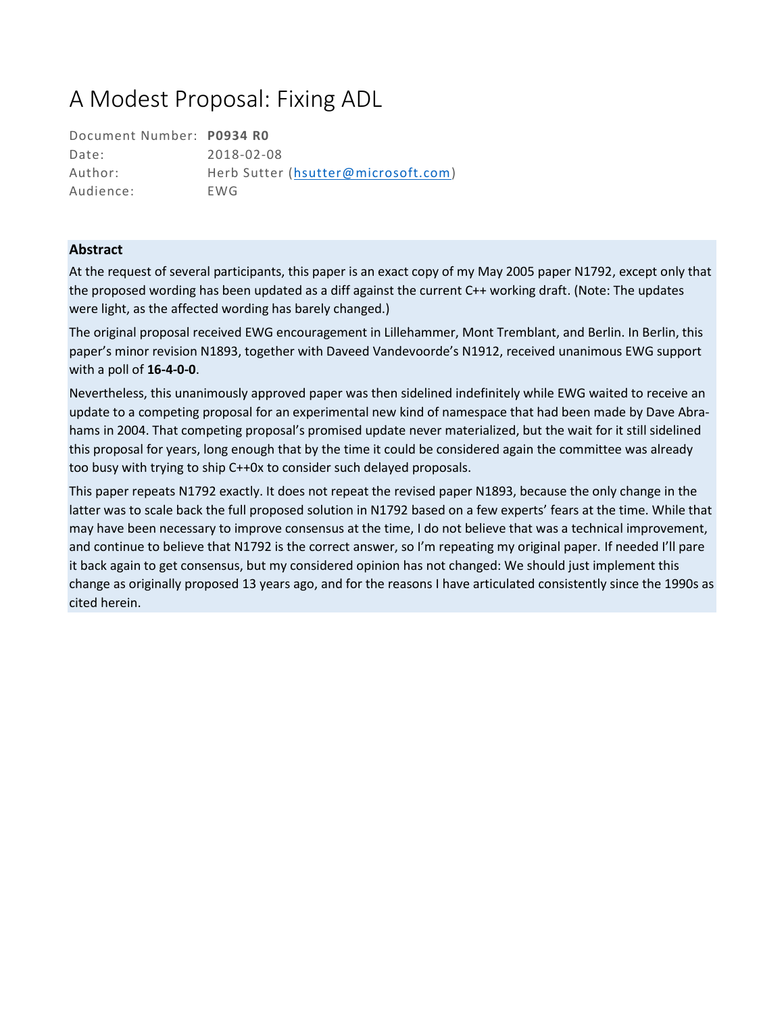# A Modest Proposal: Fixing ADL

Document Number: **P0934 R0** Date: 2018-02-08 Author: Herb Sutter [\(hsutter@microsoft.com\)](mailto:hsutter@microsoft.com) Audience: EWG

#### **Abstract**

At the request of several participants, this paper is an exact copy of my May 2005 paper N1792, except only that the proposed wording has been updated as a diff against the current C++ working draft. (Note: The updates were light, as the affected wording has barely changed.)

The original proposal received EWG encouragement in Lillehammer, Mont Tremblant, and Berlin. In Berlin, this paper's minor revision N1893, together with Daveed Vandevoorde's N1912, received unanimous EWG support with a poll of **16-4-0-0**.

Nevertheless, this unanimously approved paper was then sidelined indefinitely while EWG waited to receive an update to a competing proposal for an experimental new kind of namespace that had been made by Dave Abrahams in 2004. That competing proposal's promised update never materialized, but the wait for it still sidelined this proposal for years, long enough that by the time it could be considered again the committee was already too busy with trying to ship C++0x to consider such delayed proposals.

This paper repeats N1792 exactly. It does not repeat the revised paper N1893, because the only change in the latter was to scale back the full proposed solution in N1792 based on a few experts' fears at the time. While that may have been necessary to improve consensus at the time, I do not believe that was a technical improvement, and continue to believe that N1792 is the correct answer, so I'm repeating my original paper. If needed I'll pare it back again to get consensus, but my considered opinion has not changed: We should just implement this change as originally proposed 13 years ago, and for the reasons I have articulated consistently since the 1990s as cited herein.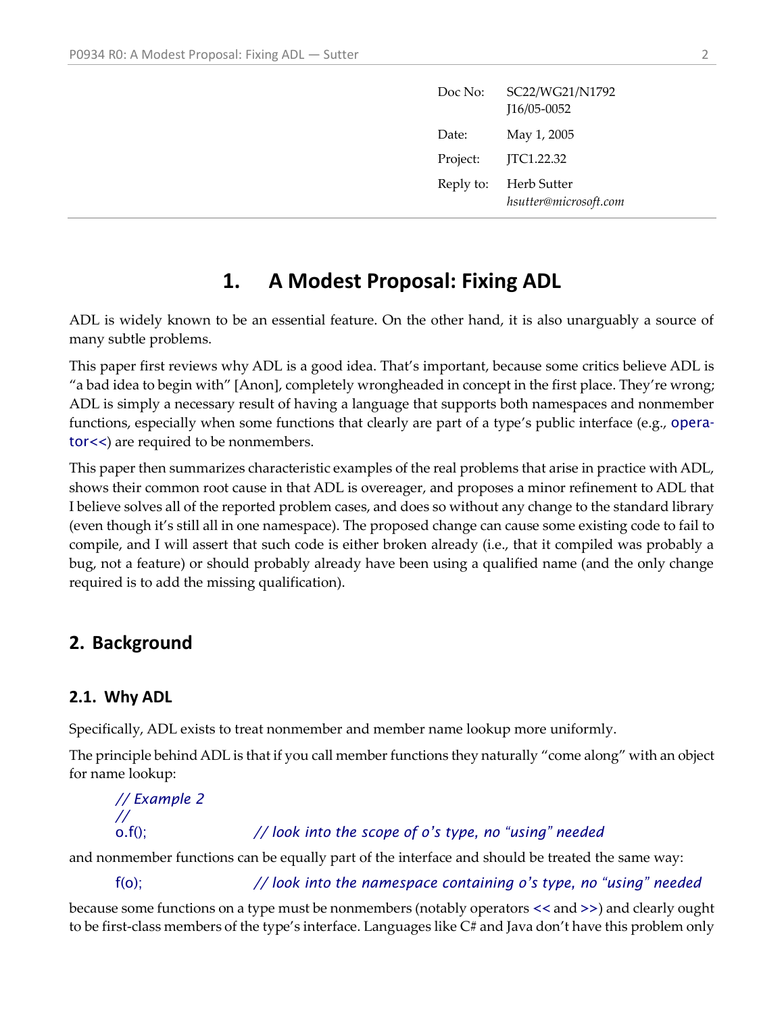| Doc No:   | SC22/WG21/N1792<br>$I16/05-0052$            |
|-----------|---------------------------------------------|
| Date:     | May 1, 2005                                 |
| Project:  | JTC1.22.32                                  |
| Reply to: | <b>Herb Sutter</b><br>hsutter@microsoft.com |

# **1. A Modest Proposal: Fixing ADL**

ADL is widely known to be an essential feature. On the other hand, it is also unarguably a source of many subtle problems.

This paper first reviews why ADL is a good idea. That's important, because some critics believe ADL is "a bad idea to begin with" [Anon], completely wrongheaded in concept in the first place. They're wrong; ADL is simply a necessary result of having a language that supports both namespaces and nonmember functions, especially when some functions that clearly are part of a type's public interface (e.g., operator << ) are required to be nonmembers.

This paper then summarizes characteristic examples of the real problems that arise in practice with ADL, shows their common root cause in that ADL is overeager, and proposes a minor refinement to ADL that I believe solves all of the reported problem cases, and does so without any change to the standard library (even though it's still all in one namespace). The proposed change can cause some existing code to fail to compile, and I will assert that such code is either broken already (i.e., that it compiled was probably a bug, not a feature) or should probably already have been using a qualified name (and the only change required is to add the missing qualification).

# **2. Background**

#### **2.1. Why ADL**

Specifically, ADL exists to treat nonmember and member name lookup more uniformly.

The principle behind ADL is that if you call member functions they naturally "come along" with an object for name lookup:

*// Example 2 //*

#### o.f(); *// look into the scope of o's type, no "using" needed*

and nonmember functions can be equally part of the interface and should be treated the same way:

f(o); *// look into the namespace containing o's type, no "using" needed*

because some functions on a type must be nonmembers (notably operators << and >>) and clearly ought to be first-class members of the type's interface. Languages like C# and Java don't have this problem only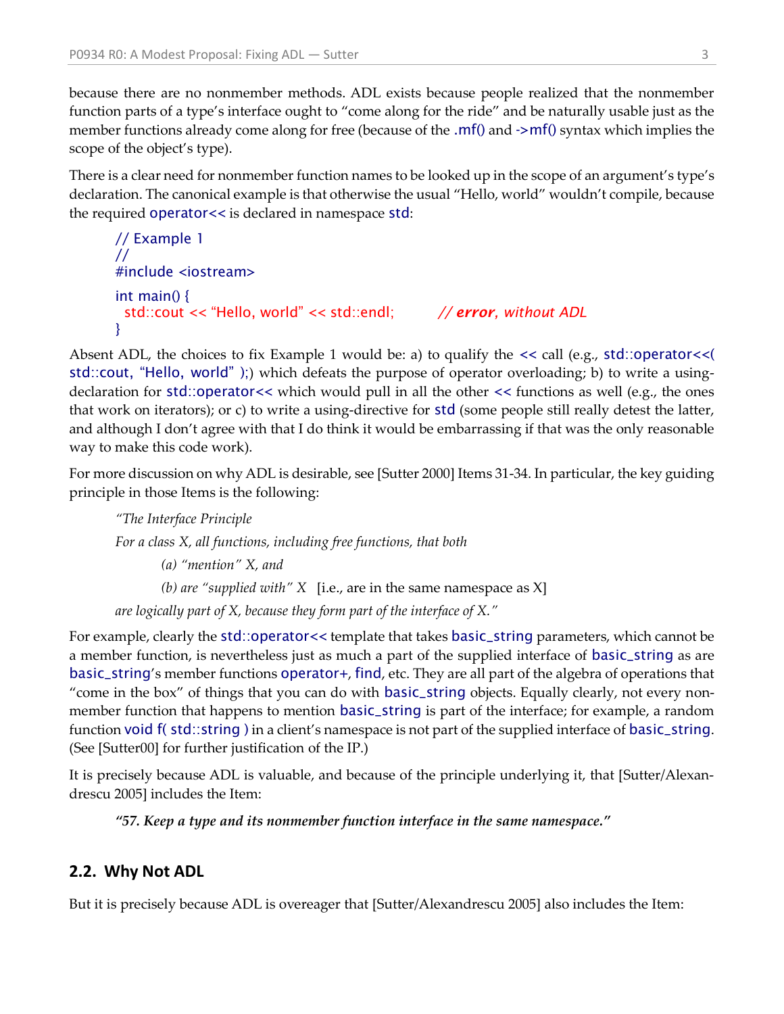because there are no nonmember methods. ADL exists because people realized that the nonmember function parts of a type's interface ought to "come along for the ride" and be naturally usable just as the member functions already come along for free (because of the .mf() and  $\rightarrow$ mf() syntax which implies the scope of the object's type).

There is a clear need for nonmember function names to be looked up in the scope of an argument's type's declaration. The canonical example is that otherwise the usual "Hello, world" wouldn't compile, because the required operator<< is declared in namespace std:

```
// Example 1
//
#include <iostream>
int main() {
  std::cout << "Hello, world" << std::endl; // error, without ADL
}
```
Absent ADL, the choices to fix Example 1 would be: a) to qualify the << call (e.g., std::operator<<( std::cout, "Hello, world" );) which defeats the purpose of operator overloading; b) to write a usingdeclaration for std::operator<< which would pull in all the other << functions as well (e.g., the ones that work on iterators); or c) to write a using-directive for std (some people still really detest the latter, and although I don't agree with that I do think it would be embarrassing if that was the only reasonable way to make this code work).

For more discussion on why ADL is desirable, see [Sutter 2000] Items 31-34. In particular, the key guiding principle in those Items is the following:

*"The Interface Principle For a class X, all functions, including free functions, that both (a) "mention" X, and (b) are "supplied with" X* [i.e., are in the same namespace as X] *are logically part of X, because they form part of the interface of X."*

For example, clearly the std::operator<< template that takes basic\_string parameters, which cannot be a member function, is nevertheless just as much a part of the supplied interface of basic\_string as are basic\_string's member functions operator+, find, etc. They are all part of the algebra of operations that "come in the box" of things that you can do with basic\_string objects. Equally clearly, not every nonmember function that happens to mention basic\_string is part of the interface; for example, a random function void f(std::string) in a client's namespace is not part of the supplied interface of basic\_string. (See [Sutter00] for further justification of the IP.)

It is precisely because ADL is valuable, and because of the principle underlying it, that [Sutter/Alexandrescu 2005] includes the Item:

*"57. Keep a type and its nonmember function interface in the same namespace."*

# **2.2. Why Not ADL**

But it is precisely because ADL is overeager that [Sutter/Alexandrescu 2005] also includes the Item: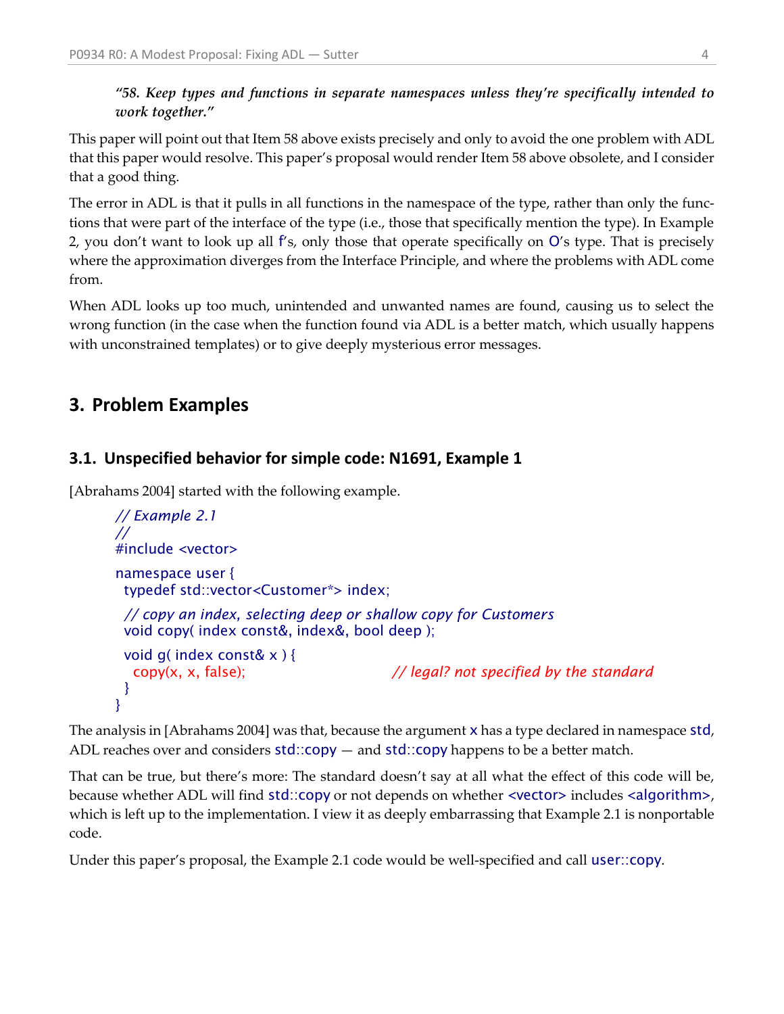#### *"58. Keep types and functions in separate namespaces unless they're specifically intended to work together."*

This paper will point out that Item 58 above exists precisely and only to avoid the one problem with ADL that this paper would resolve. This paper's proposal would render Item 58 above obsolete, and I consider that a good thing.

The error in ADL is that it pulls in all functions in the namespace of the type, rather than only the functions that were part of the interface of the type (i.e., those that specifically mention the type). In Example 2, you don't want to look up all f's, only those that operate specifically on O's type. That is precisely where the approximation diverges from the Interface Principle, and where the problems with ADL come from.

When ADL looks up too much, unintended and unwanted names are found, causing us to select the wrong function (in the case when the function found via ADL is a better match, which usually happens with unconstrained templates) or to give deeply mysterious error messages.

# **3. Problem Examples**

### **3.1. Unspecified behavior for simple code: N1691, Example 1**

[Abrahams 2004] started with the following example.

```
// Example 2.1
//
#include <vector>
namespace user {
  typedef std::vector<Customer*> index;
  // copy an index, selecting deep or shallow copy for Customers
  void copy( index const&, index&, bool deep );
  void g( index const& x ) {
   copy(x, x, false); // legal? not specified by the standard
  }
}
```
The analysis in [Abrahams 2004] was that, because the argument x has a type declared in namespace std, ADL reaches over and considers std::copy — and std::copy happens to be a better match.

That can be true, but there's more: The standard doesn't say at all what the effect of this code will be, because whether ADL will find std:: copy or not depends on whether <vector> includes <algorithm>, which is left up to the implementation. I view it as deeply embarrassing that Example 2.1 is nonportable code.

Under this paper's proposal, the Example 2.1 code would be well-specified and call user::copy.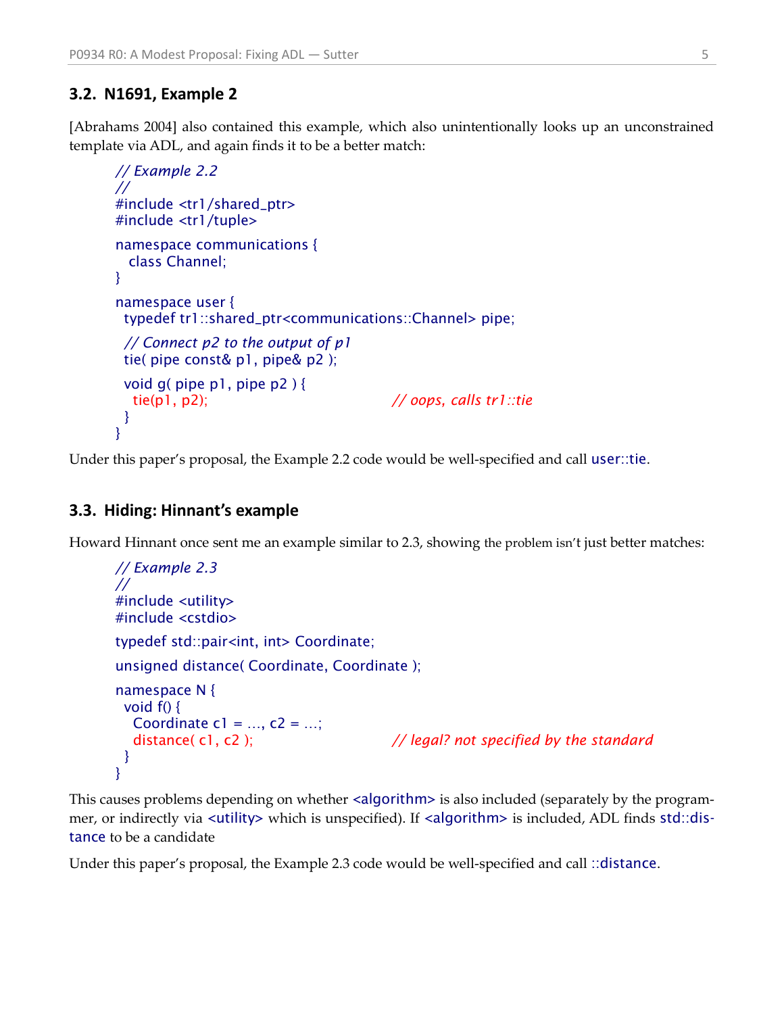## **3.2. N1691, Example 2**

[Abrahams 2004] also contained this example, which also unintentionally looks up an unconstrained template via ADL, and again finds it to be a better match:

```
// Example 2.2
//
#include <tr1/shared_ptr>
#include <tr1/tuple>
namespace communications {
  class Channel;
}
namespace user {
  typedef tr1::shared_ptr<communications::Channel> pipe;
  // Connect p2 to the output of p1
  tie( pipe const& p1, pipe& p2 );
  void g( pipe p1, pipe p2 ) {
   tie(p1, p2); // oops, calls tr1::tie
  }
}
```
Under this paper's proposal, the Example 2.2 code would be well-specified and call user::tie.

## **3.3. Hiding: Hinnant's example**

Howard Hinnant once sent me an example similar to 2.3, showing the problem isn't just better matches:

```
// Example 2.3
//
#include <utility>
#include <cstdio>
typedef std::pair<int, int> Coordinate;
unsigned distance( Coordinate, Coordinate );
namespace N {
 void f() {
  Coordinate c1 = ..., c2 = ...; distance( c1, c2 ); // legal? not specified by the standard
  }
}
```
This causes problems depending on whether <algorithm> is also included (separately by the programmer, or indirectly via <utility> which is unspecified). If <algorithm> is included, ADL finds std::distance to be a candidate

<span id="page-4-0"></span>Under this paper's proposal, the Example 2.3 code would be well-specified and call ::distance.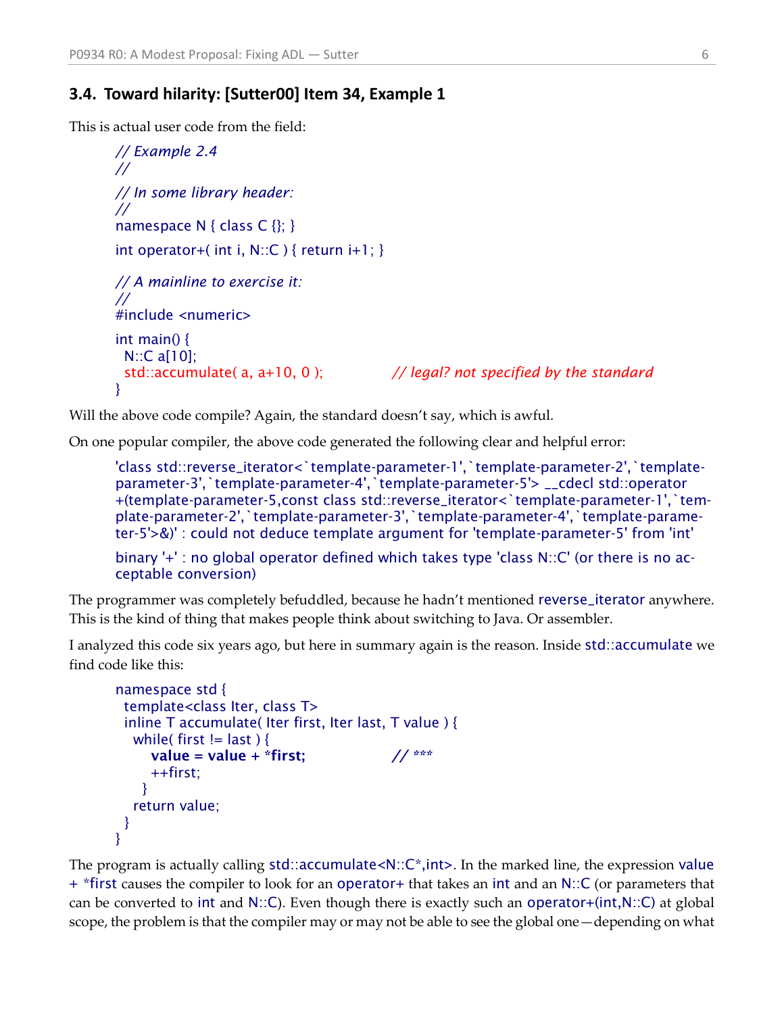#### **3.4. Toward hilarity: [Sutter00] Item 34, Example 1**

This is actual user code from the field:

```
// Example 2.4
//
// In some library header:
//
namespace N { class C {}; }
int operator+( int i, N::C ) { return i+1; }
// A mainline to exercise it:
//
#include <numeric>
int main() \{ N::C a[10];
  std::accumulate( a, a+10, 0 ); // legal? not specified by the standard
}
```
Will the above code compile? Again, the standard doesn't say, which is awful.

On one popular compiler, the above code generated the following clear and helpful error:

```
'class std::reverse_iterator<`template-parameter-1',`template-parameter-2',`template-
parameter-3',`template-parameter-4',`template-parameter-5'> __cdecl std::operator 
+(template-parameter-5,const class std::reverse_iterator<`template-parameter-1',`tem-
plate-parameter-2',`template-parameter-3',`template-parameter-4',`template-parame-
ter-5'>&)' : could not deduce template argument for 'template-parameter-5' from 'int'
```
binary '+' : no global operator defined which takes type 'class N::C' (or there is no acceptable conversion)

The programmer was completely befuddled, because he hadn't mentioned reverse\_iterator anywhere. This is the kind of thing that makes people think about switching to Java. Or assembler.

I analyzed this code six years ago, but here in summary again is the reason. Inside std::accumulate we find code like this:

```
namespace std {
  template<class Iter, class T>
  inline T accumulate( Iter first, Iter last, T value ) {
  while( first != last ) {
      value = value + *first; // ***
      ++first;
     }
   return value;
  }
}
```
The program is actually calling std::accumulate<N::C\*,int>. In the marked line, the expression value + \*first causes the compiler to look for an operator+ that takes an int and an N::C (or parameters that can be converted to int and N::C). Even though there is exactly such an operator+(int,N::C) at global scope, the problem is that the compiler may or may not be able to see the global one—depending on what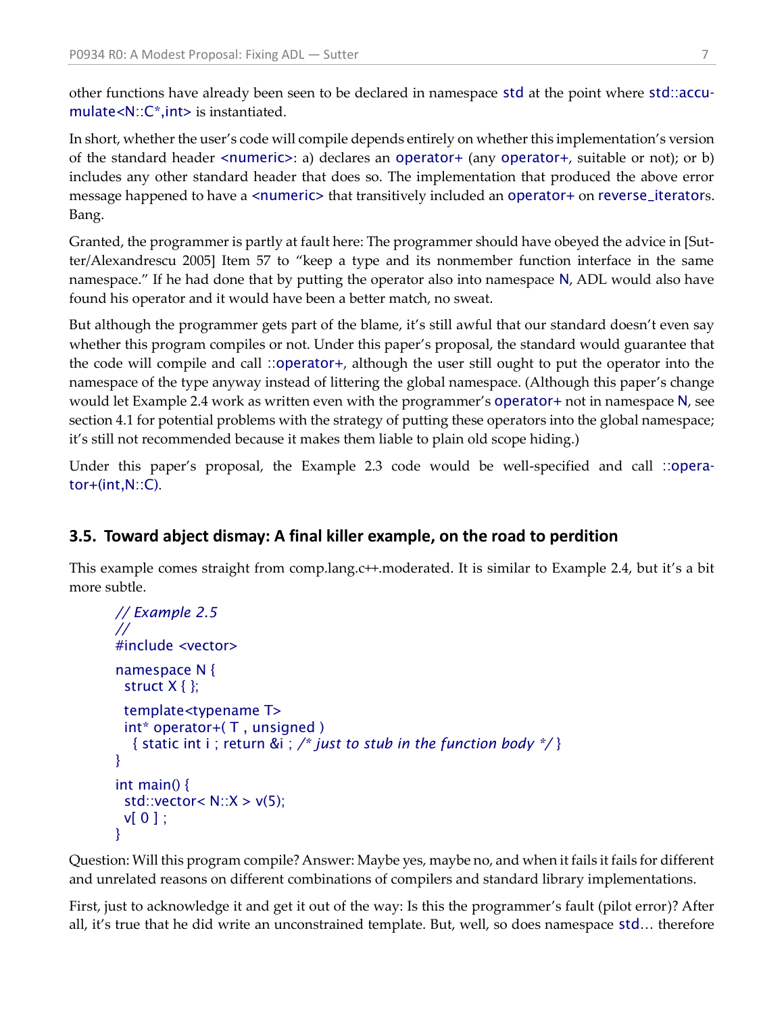other functions have already been seen to be declared in namespace std at the point where std::accumulate<N::C\*,int> is instantiated.

In short, whether the user's code will compile depends entirely on whether this implementation's version of the standard header <numeric>: a) declares an operator+ (any operator+, suitable or not); or b) includes any other standard header that does so. The implementation that produced the above error message happened to have a <numeric> that transitively included an operator+ on reverse\_iterators. Bang.

Granted, the programmer is partly at fault here: The programmer should have obeyed the advice in [Sutter/Alexandrescu 2005] Item 57 to "keep a type and its nonmember function interface in the same namespace." If he had done that by putting the operator also into namespace N, ADL would also have found his operator and it would have been a better match, no sweat.

But although the programmer gets part of the blame, it's still awful that our standard doesn't even say whether this program compiles or not. Under this paper's proposal, the standard would guarantee that the code will compile and call ::operator+, although the user still ought to put the operator into the namespace of the type anyway instead of littering the global namespace. (Although this paper's change would let Example 2.4 work as written even with the programmer's operator+ not in namespace N, see sectio[n 4.1](#page-10-0) for potential problems with the strategy of putting these operators into the global namespace; it's still not recommended because it makes them liable to plain old scope hiding.)

Under this paper's proposal, the Example 2.3 code would be well-specified and call ::operator+(int,N::C).

### **3.5. Toward abject dismay: A final killer example, on the road to perdition**

This example comes straight from comp.lang.c++.moderated. It is similar to Example 2.4, but it's a bit more subtle.

```
// Example 2.5
//
#include <vector>
namespace N {
 struct X \};
  template<typename T>
  int* operator+( T , unsigned )
   { static int i ; return &i ; /* just to stub in the function body */ }
}
int main() {
  std::vector< N::X > v(5);
 v[0] ;
}
```
Question: Will this program compile? Answer: Maybe yes, maybe no, and when it fails it fails for different and unrelated reasons on different combinations of compilers and standard library implementations.

First, just to acknowledge it and get it out of the way: Is this the programmer's fault (pilot error)? After all, it's true that he did write an unconstrained template. But, well, so does namespace std… therefore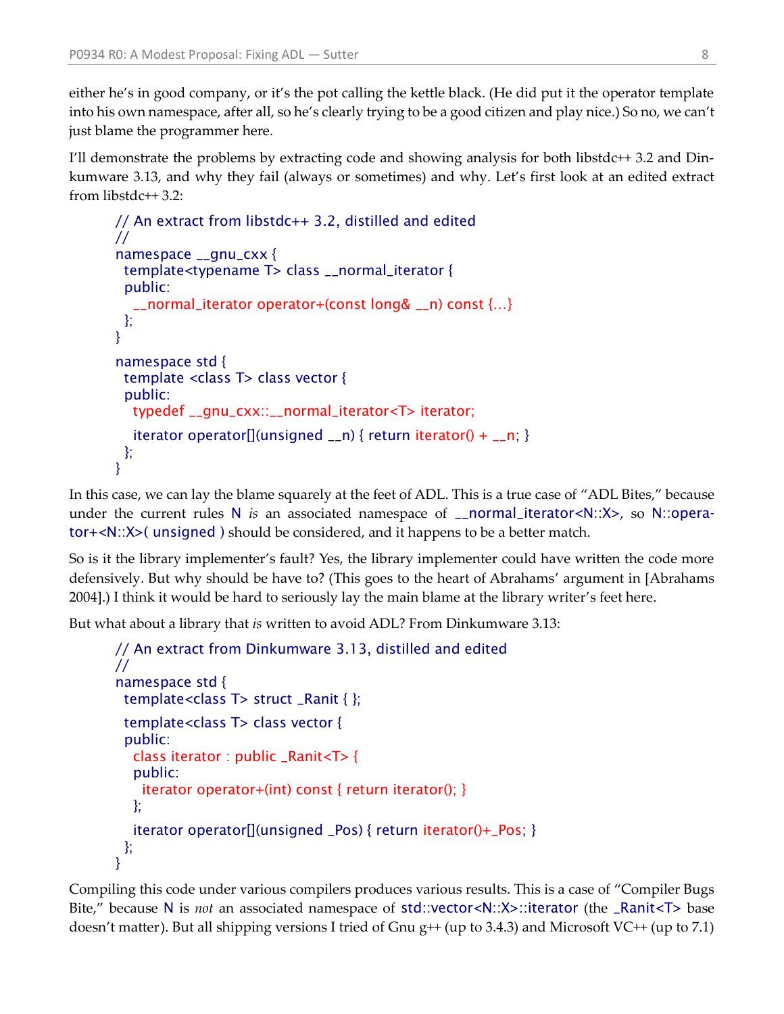either he's in good company, or it's the pot calling the kettle black. (He did put it the operator template into his own namespace, after all, so he's clearly trying to be a good citizen and play nice.) So no, we can't just blame the programmer here.

I'll demonstrate the problems by extracting code and showing analysis for both libstdc++ 3.2 and Dinkumware 3.13, and why they fail (always or sometimes) and why. Let's first look at an edited extract from libstdc++ 3.2:

```
// An extract from libstdc++ 3.2, distilled and edited
//
namespace __gnu_cxx {
  template<typename T> class __normal_iterator {
  public:
    __normal_iterator operator+(const long& __n) const {…}
  };
}
namespace std {
  template <class T> class vector {
  public:
   typedef __gnu_cxx::__normal_iterator<T> iterator;
  iterator operator[](unsigned _{-}n) { return iterator() + _{-}n; }
  };
}
```
In this case, we can lay the blame squarely at the feet of ADL. This is a true case of "ADL Bites," because under the current rules N *is* an associated namespace of **\_\_normal\_iterator**<N::X>, so N::operator+<N::X>( unsigned ) should be considered, and it happens to be a better match.

So is it the library implementer's fault? Yes, the library implementer could have written the code more defensively. But why should be have to? (This goes to the heart of Abrahams' argument in [Abrahams 2004].) I think it would be hard to seriously lay the main blame at the library writer's feet here.

But what about a library that *is* written to avoid ADL? From Dinkumware 3.13:

```
// An extract from Dinkumware 3.13, distilled and edited
//
namespace std {
  template<class T> struct _Ranit { };
  template<class T> class vector {
  public:
   class iterator : public _Ranit<T> {
    public:
     iterator operator+(int) const { return iterator(); }
    };
   iterator operator[](unsigned _Pos) { return iterator()+_Pos; }
  };
}
```
Compiling this code under various compilers produces various results. This is a case of "Compiler Bugs Bite," because N is *not* an associated namespace of std::vector<N::X>::iterator (the \_Ranit<T> base doesn't matter). But all shipping versions I tried of Gnu g++ (up to 3.4.3) and Microsoft VC++ (up to 7.1)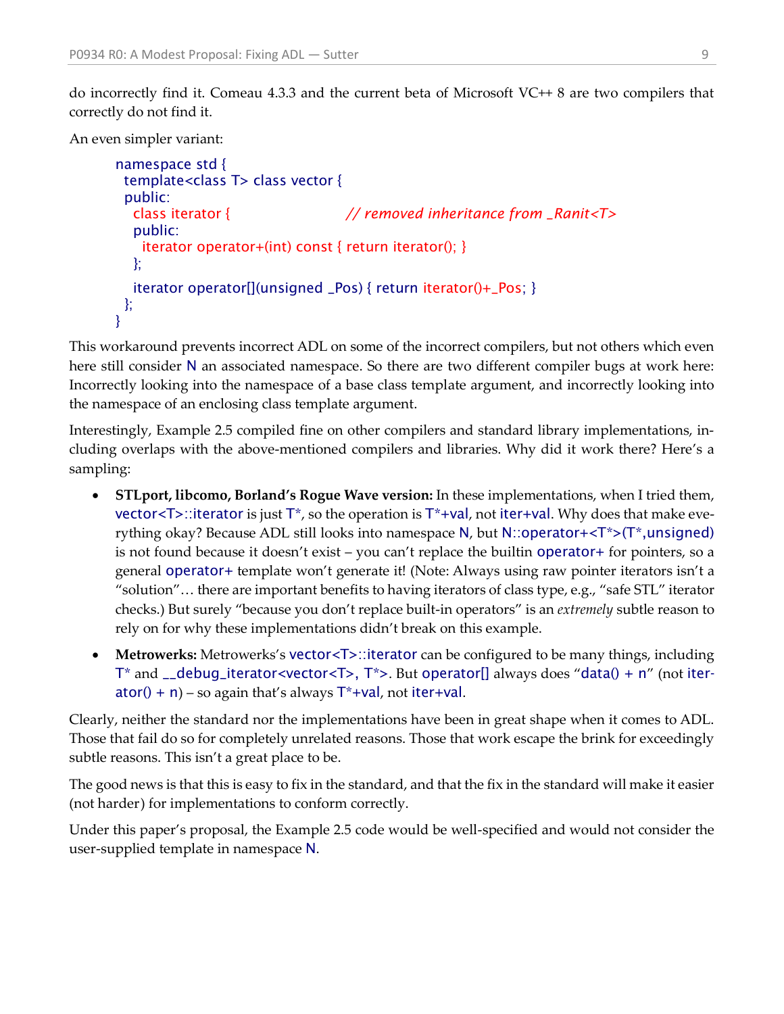do incorrectly find it. Comeau 4.3.3 and the current beta of Microsoft VC++ 8 are two compilers that correctly do not find it.

An even simpler variant:

```
namespace std {
  template<class T> class vector {
  public:
   class iterator { // removed inheritance from _Ranit<T>
   public:
    iterator operator+(int) const { return iterator(); }
   };
   iterator operator[](unsigned _Pos) { return iterator()+_Pos; }
  };
}
```
This workaround prevents incorrect ADL on some of the incorrect compilers, but not others which even here still consider N an associated namespace. So there are two different compiler bugs at work here: Incorrectly looking into the namespace of a base class template argument, and incorrectly looking into the namespace of an enclosing class template argument.

Interestingly, Example 2.5 compiled fine on other compilers and standard library implementations, including overlaps with the above-mentioned compilers and libraries. Why did it work there? Here's a sampling:

- **STLport, libcomo, Borland's Rogue Wave version:** In these implementations, when I tried them, vector<T>::iterator is just  $T^*$ , so the operation is  $T^*+val$ , not iter+val. Why does that make everything okay? Because ADL still looks into namespace N, but N::operator+<T\*>(T\*,unsigned) is not found because it doesn't exist – you can't replace the builtin operator+ for pointers, so a general operator+ template won't generate it! (Note: Always using raw pointer iterators isn't a "solution"… there are important benefits to having iterators of class type, e.g., "safe STL" iterator checks.) But surely "because you don't replace built-in operators" is an *extremely* subtle reason to rely on for why these implementations didn't break on this example.
- Metrowerks: Metrowerks's vector<T>::iterator can be configured to be many things, including T\* and \_\_debug\_iterator<vector<T>, T\*>. But operator[] always does "data() + n" (not iterator() + n) – so again that's always  $T^*$ +val, not iter+val.

Clearly, neither the standard nor the implementations have been in great shape when it comes to ADL. Those that fail do so for completely unrelated reasons. Those that work escape the brink for exceedingly subtle reasons. This isn't a great place to be.

The good news is that this is easy to fix in the standard, and that the fix in the standard will make it easier (not harder) for implementations to conform correctly.

Under this paper's proposal, the Example 2.5 code would be well-specified and would not consider the user-supplied template in namespace N.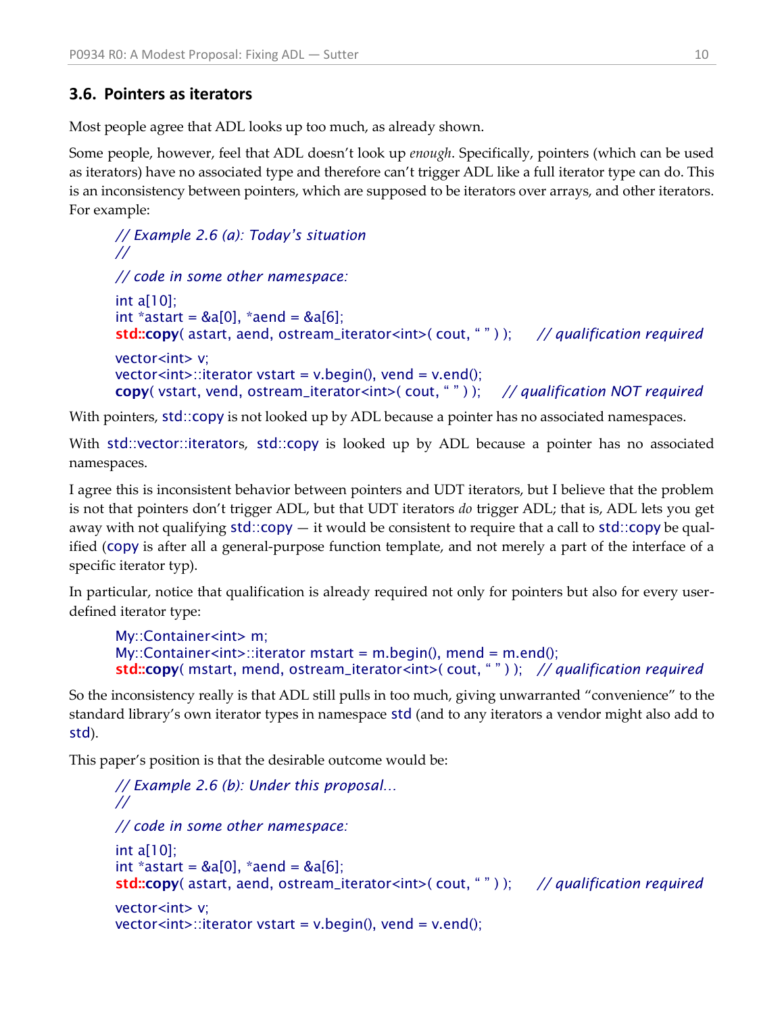## **3.6. Pointers as iterators**

Most people agree that ADL looks up too much, as already shown.

Some people, however, feel that ADL doesn't look up *enough*. Specifically, pointers (which can be used as iterators) have no associated type and therefore can't trigger ADL like a full iterator type can do. This is an inconsistency between pointers, which are supposed to be iterators over arrays, and other iterators. For example:

```
// Example 2.6 (a): Today's situation
//
// code in some other namespace:
int a[10];
int *astart = &a[0], *aend = &a[6];
std::copy( astart, aend, ostream_iterator<int>( cout, " " ) ); // qualification required
vector<int> v;
vector<int\ge::iterator vstart = v.begin(), vend = v.end();
copy( vstart, vend, ostream_iterator<int>( cout, " " ) ); // qualification NOT required
```
With pointers, std::copy is not looked up by ADL because a pointer has no associated namespaces.

With std::vector::iterators, std::copy is looked up by ADL because a pointer has no associated namespaces.

I agree this is inconsistent behavior between pointers and UDT iterators, but I believe that the problem is not that pointers don't trigger ADL, but that UDT iterators *do* trigger ADL; that is, ADL lets you get away with not qualifying  $std::copy - it$  would be consistent to require that a call to  $std::copy$  be qualified (copy is after all a general-purpose function template, and not merely a part of the interface of a specific iterator typ).

In particular, notice that qualification is already required not only for pointers but also for every userdefined iterator type:

```
My::Container<int> m;
My::Container < int >::iterator mstart = m.begin(), mend = m.end();
std::copy( mstart, mend, ostream_iterator<int>( cout, " " ) ); // qualification required
```
So the inconsistency really is that ADL still pulls in too much, giving unwarranted "convenience" to the standard library's own iterator types in namespace std (and to any iterators a vendor might also add to std).

This paper's position is that the desirable outcome would be:

```
// Example 2.6 (b): Under this proposal…
//
// code in some other namespace:
int a[10];
int *astart = \&a[0], *aend = \&a[6];
std::copy( astart, aend, ostream_iterator<int>( cout, " " ) ); // qualification required
vector<int> v;
vectors(int)::iterator vstart = v.begin(), vend = v.end();
```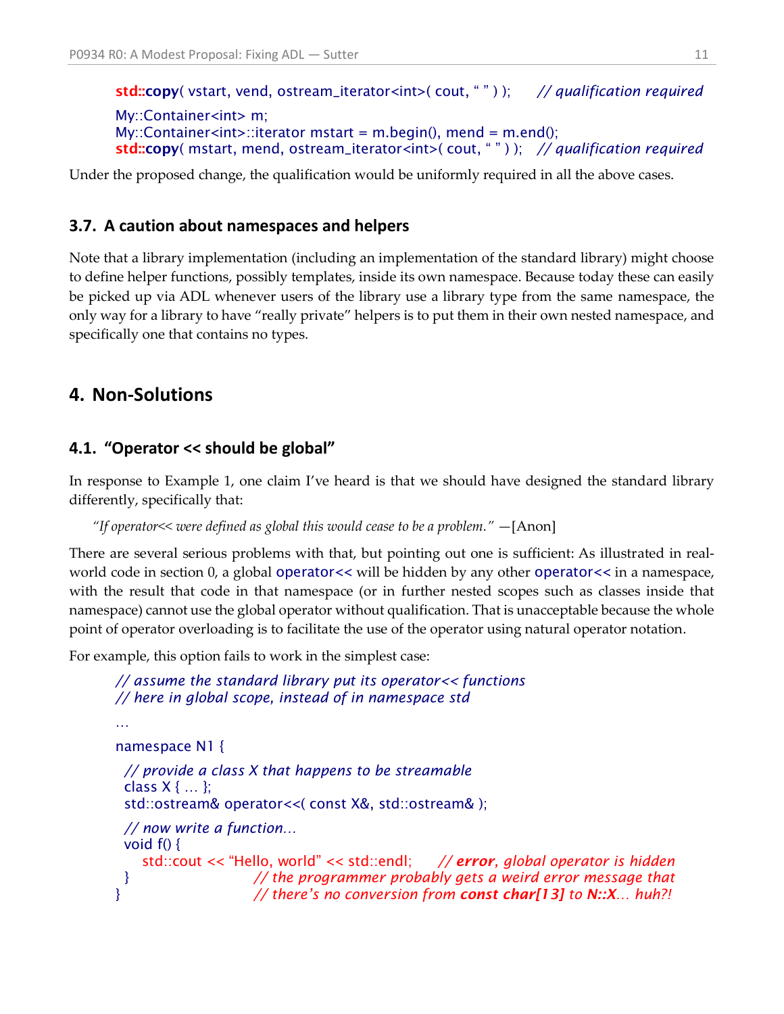std::copy( vstart, vend, ostream\_iterator<int>( cout, " " ) ); *// qualification required* My::Container<int> m;  $My::Containerint>::iterator$  mstart = m.begin(), mend = m.end(); std::copy( mstart, mend, ostream\_iterator<int>( cout, " " ) ); *// qualification required*

Under the proposed change, the qualification would be uniformly required in all the above cases.

#### **3.7. A caution about namespaces and helpers**

Note that a library implementation (including an implementation of the standard library) might choose to define helper functions, possibly templates, inside its own namespace. Because today these can easily be picked up via ADL whenever users of the library use a library type from the same namespace, the only way for a library to have "really private" helpers is to put them in their own nested namespace, and specifically one that contains no types.

# **4. Non-Solutions**

#### <span id="page-10-0"></span>**4.1. "Operator << should be global"**

In response to Example 1, one claim I've heard is that we should have designed the standard library differently, specifically that:

*"If operator<< were defined as global this would cease to be a problem."* —[Anon]

There are several serious problems with that, but pointing out one is sufficient: As illustrated in realworld code in section [0,](#page-4-0) a global operator<< will be hidden by any other operator<< in a namespace, with the result that code in that namespace (or in further nested scopes such as classes inside that namespace) cannot use the global operator without qualification. That is unacceptable because the whole point of operator overloading is to facilitate the use of the operator using natural operator notation.

For example, this option fails to work in the simplest case:

```
// assume the standard library put its operator<< functions
// here in global scope, instead of in namespace std
…
namespace N1 {
  // provide a class X that happens to be streamable
 class X { ... };
  std::ostream& operator<<( const X&, std::ostream& );
  // now write a function…
 void f() {
    std::cout << "Hello, world" << std::endl; // error, global operator is hidden
  } // the programmer probably gets a weird error message that 
} // there's no conversion from const char[13] to N::X… huh?!
```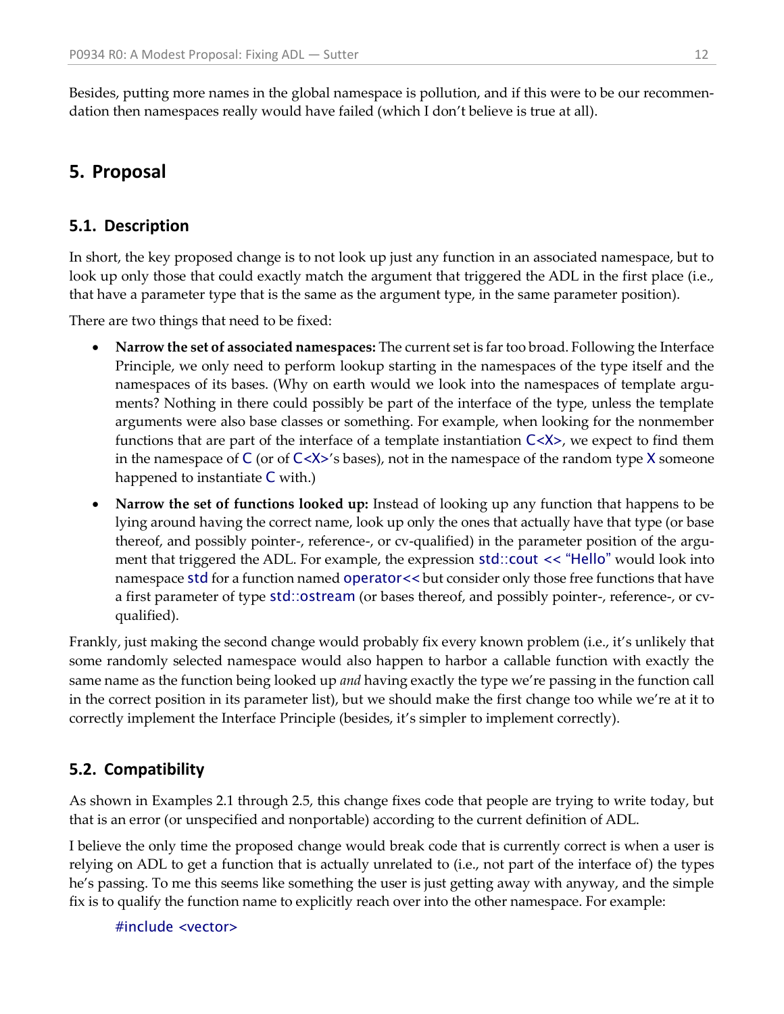Besides, putting more names in the global namespace is pollution, and if this were to be our recommendation then namespaces really would have failed (which I don't believe is true at all).

## **5. Proposal**

#### **5.1. Description**

In short, the key proposed change is to not look up just any function in an associated namespace, but to look up only those that could exactly match the argument that triggered the ADL in the first place (i.e., that have a parameter type that is the same as the argument type, in the same parameter position).

There are two things that need to be fixed:

- **Narrow the set of associated namespaces:** The current set is far too broad. Following the Interface Principle, we only need to perform lookup starting in the namespaces of the type itself and the namespaces of its bases. (Why on earth would we look into the namespaces of template arguments? Nothing in there could possibly be part of the interface of the type, unless the template arguments were also base classes or something. For example, when looking for the nonmember functions that are part of the interface of a template instantiation  $C\ll 1$ , we expect to find them in the namespace of  $C$  (or of  $C \langle X \rangle$ 's bases), not in the namespace of the random type X someone happened to instantiate C with.)
- **Narrow the set of functions looked up:** Instead of looking up any function that happens to be lying around having the correct name, look up only the ones that actually have that type (or base thereof, and possibly pointer-, reference-, or cv-qualified) in the parameter position of the argument that triggered the ADL. For example, the expression std::cout << "Hello" would look into namespace std for a function named operator << but consider only those free functions that have a first parameter of type std::ostream (or bases thereof, and possibly pointer-, reference-, or cvqualified).

Frankly, just making the second change would probably fix every known problem (i.e., it's unlikely that some randomly selected namespace would also happen to harbor a callable function with exactly the same name as the function being looked up *and* having exactly the type we're passing in the function call in the correct position in its parameter list), but we should make the first change too while we're at it to correctly implement the Interface Principle (besides, it's simpler to implement correctly).

### **5.2. Compatibility**

As shown in Examples 2.1 through 2.5, this change fixes code that people are trying to write today, but that is an error (or unspecified and nonportable) according to the current definition of ADL.

I believe the only time the proposed change would break code that is currently correct is when a user is relying on ADL to get a function that is actually unrelated to (i.e., not part of the interface of) the types he's passing. To me this seems like something the user is just getting away with anyway, and the simple fix is to qualify the function name to explicitly reach over into the other namespace. For example:

#include <vector>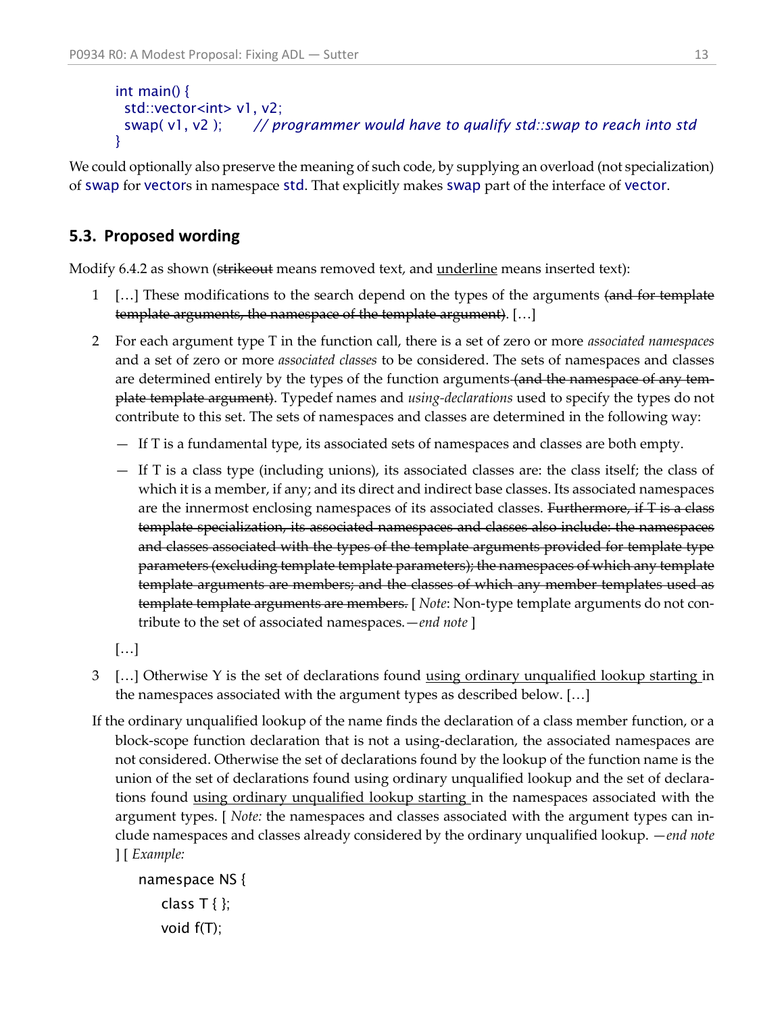```
int main() {
  std::vector<int> v1, v2;
  swap( v1, v2 ); // programmer would have to qualify std::swap to reach into std
}
```
We could optionally also preserve the meaning of such code, by supplying an overload (not specialization) of swap for vectors in namespace std. That explicitly makes swap part of the interface of vector.

## **5.3. Proposed wording**

Modify 6.4.2 as shown (strikeout means removed text, and <u>underline</u> means inserted text):

- 1 [...] These modifications to the search depend on the types of the arguments (and for template template arguments, the namespace of the template argument). […]
- 2 For each argument type T in the function call, there is a set of zero or more *associated namespaces*  and a set of zero or more *associated classes* to be considered. The sets of namespaces and classes are determined entirely by the types of the function arguments (and the namespace of any template template argument). Typedef names and *using-declarations* used to specify the types do not contribute to this set. The sets of namespaces and classes are determined in the following way:
	- If T is a fundamental type, its associated sets of namespaces and classes are both empty.
	- If T is a class type (including unions), its associated classes are: the class itself; the class of which it is a member, if any; and its direct and indirect base classes. Its associated namespaces are the innermost enclosing namespaces of its associated classes. Furthermore, if T is a class template specialization, its associated namespaces and classes also include: the namespaces and classes associated with the types of the template arguments provided for template type parameters (excluding template template parameters); the namespaces of which any template template arguments are members; and the classes of which any member templates used as template template arguments are members. [ *Note*: Non-type template arguments do not contribute to the set of associated namespaces.—*end note* ]

[…]

- 3 […] Otherwise Y is the set of declarations found using ordinary unqualified lookup starting in the namespaces associated with the argument types as described below. […]
- If the ordinary unqualified lookup of the name finds the declaration of a class member function, or a block-scope function declaration that is not a using-declaration, the associated namespaces are not considered. Otherwise the set of declarations found by the lookup of the function name is the union of the set of declarations found using ordinary unqualified lookup and the set of declarations found using ordinary unqualified lookup starting in the namespaces associated with the argument types. [ *Note:* the namespaces and classes associated with the argument types can include namespaces and classes already considered by the ordinary unqualified lookup. —*end note* ] [ *Example:*

```
namespace NS {
   class T\{\};
   void f(T);
```